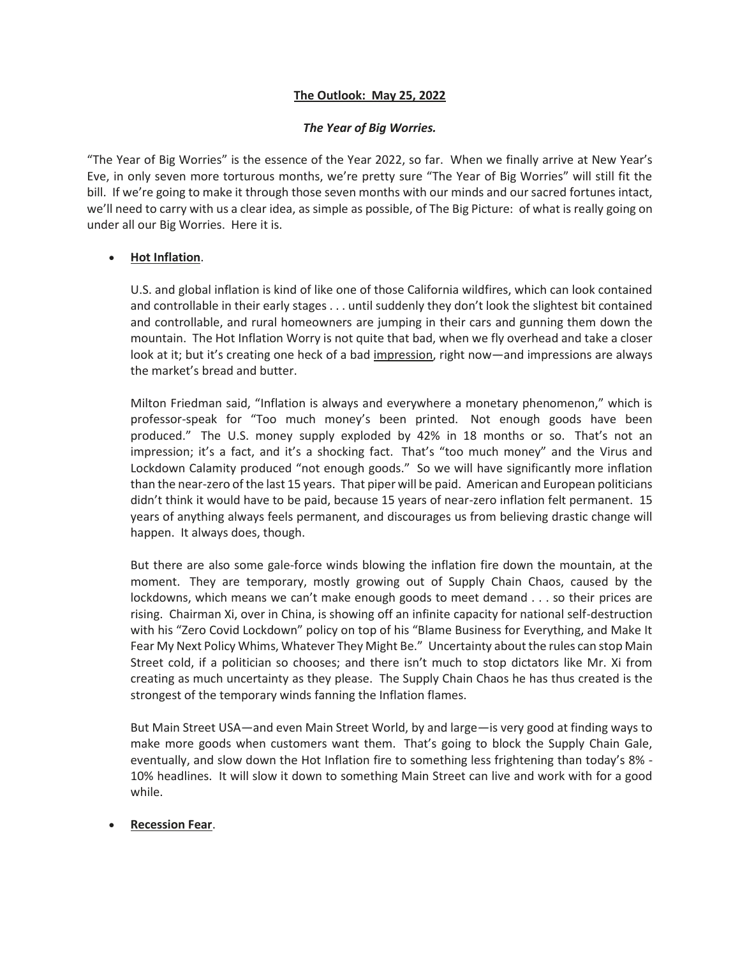# **The Outlook: May 25, 2022**

# *The Year of Big Worries.*

"The Year of Big Worries" is the essence of the Year 2022, so far. When we finally arrive at New Year's Eve, in only seven more torturous months, we're pretty sure "The Year of Big Worries" will still fit the bill. If we're going to make it through those seven months with our minds and our sacred fortunes intact, we'll need to carry with us a clear idea, as simple as possible, of The Big Picture: of what is really going on under all our Big Worries. Here it is.

# • **Hot Inflation**.

U.S. and global inflation is kind of like one of those California wildfires, which can look contained and controllable in their early stages . . . until suddenly they don't look the slightest bit contained and controllable, and rural homeowners are jumping in their cars and gunning them down the mountain. The Hot Inflation Worry is not quite that bad, when we fly overhead and take a closer look at it; but it's creating one heck of a bad impression, right now—and impressions are always the market's bread and butter.

Milton Friedman said, "Inflation is always and everywhere a monetary phenomenon," which is professor-speak for "Too much money's been printed. Not enough goods have been produced." The U.S. money supply exploded by 42% in 18 months or so. That's not an impression; it's a fact, and it's a shocking fact. That's "too much money" and the Virus and Lockdown Calamity produced "not enough goods." So we will have significantly more inflation than the near-zero of the last 15 years. That piper will be paid. American and European politicians didn't think it would have to be paid, because 15 years of near-zero inflation felt permanent. 15 years of anything always feels permanent, and discourages us from believing drastic change will happen. It always does, though.

But there are also some gale-force winds blowing the inflation fire down the mountain, at the moment. They are temporary, mostly growing out of Supply Chain Chaos, caused by the lockdowns, which means we can't make enough goods to meet demand . . . so their prices are rising. Chairman Xi, over in China, is showing off an infinite capacity for national self-destruction with his "Zero Covid Lockdown" policy on top of his "Blame Business for Everything, and Make It Fear My Next Policy Whims, Whatever They Might Be." Uncertainty about the rules can stop Main Street cold, if a politician so chooses; and there isn't much to stop dictators like Mr. Xi from creating as much uncertainty as they please. The Supply Chain Chaos he has thus created is the strongest of the temporary winds fanning the Inflation flames.

But Main Street USA—and even Main Street World, by and large—is very good at finding ways to make more goods when customers want them. That's going to block the Supply Chain Gale, eventually, and slow down the Hot Inflation fire to something less frightening than today's 8% - 10% headlines. It will slow it down to something Main Street can live and work with for a good while.

# • **Recession Fear**.